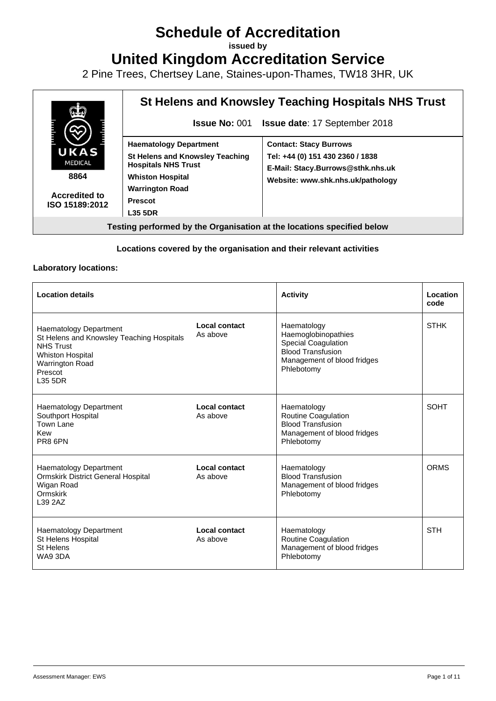# **Schedule of Accreditation**

**issued by**

**United Kingdom Accreditation Service**

2 Pine Trees, Chertsey Lane, Staines-upon-Thames, TW18 3HR, UK



## **Locations covered by the organisation and their relevant activities**

### **Laboratory locations:**

| <b>Location details</b>                                                                                                                                            |                           | <b>Activity</b>                                                                                                                           | Location<br>code |
|--------------------------------------------------------------------------------------------------------------------------------------------------------------------|---------------------------|-------------------------------------------------------------------------------------------------------------------------------------------|------------------|
| Haematology Department<br>St Helens and Knowsley Teaching Hospitals<br><b>NHS Trust</b><br><b>Whiston Hospital</b><br><b>Warrington Road</b><br>Prescot<br>L35 5DR | Local contact<br>As above | Haematology<br>Haemoglobinopathies<br><b>Special Coagulation</b><br><b>Blood Transfusion</b><br>Management of blood fridges<br>Phlebotomy | <b>STHK</b>      |
| <b>Haematology Department</b><br>Southport Hospital<br>Town Lane<br>Kew<br>PR8 6PN                                                                                 | Local contact<br>As above | Haematology<br><b>Routine Coagulation</b><br><b>Blood Transfusion</b><br>Management of blood fridges<br>Phlebotomy                        | <b>SOHT</b>      |
| <b>Haematology Department</b><br>Ormskirk District General Hospital<br>Wigan Road<br>Ormskirk<br>L39 2AZ                                                           | Local contact<br>As above | Haematology<br><b>Blood Transfusion</b><br>Management of blood fridges<br>Phlebotomy                                                      | <b>ORMS</b>      |
| <b>Haematology Department</b><br>St Helens Hospital<br>St Helens<br>WA9 3DA                                                                                        | Local contact<br>As above | Haematology<br>Routine Coagulation<br>Management of blood fridges<br>Phlebotomy                                                           | <b>STH</b>       |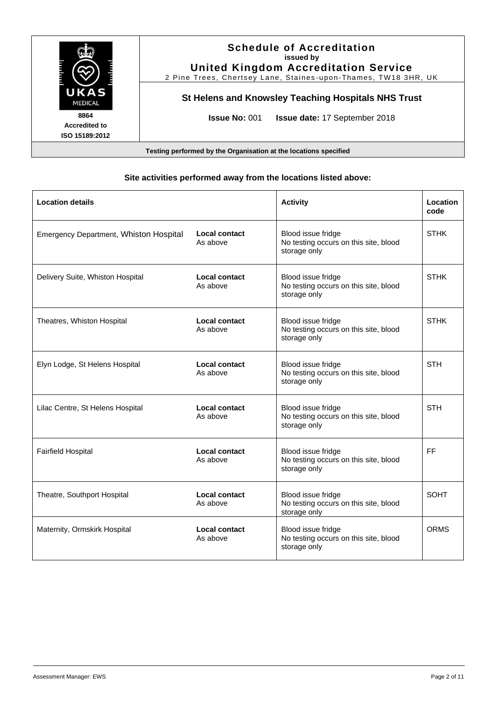

### **Site activities performed away from the locations listed above:**

| <b>Location details</b>                       |                                  | <b>Activity</b>                                                             | Location<br>code |
|-----------------------------------------------|----------------------------------|-----------------------------------------------------------------------------|------------------|
| <b>Emergency Department, Whiston Hospital</b> | <b>Local contact</b><br>As above | Blood issue fridge<br>No testing occurs on this site, blood<br>storage only | <b>STHK</b>      |
| Delivery Suite, Whiston Hospital              | Local contact<br>As above        | Blood issue fridge<br>No testing occurs on this site, blood<br>storage only | <b>STHK</b>      |
| Theatres, Whiston Hospital                    | Local contact<br>As above        | Blood issue fridge<br>No testing occurs on this site, blood<br>storage only | <b>STHK</b>      |
| Elyn Lodge, St Helens Hospital                | Local contact<br>As above        | Blood issue fridge<br>No testing occurs on this site, blood<br>storage only | <b>STH</b>       |
| Lilac Centre, St Helens Hospital              | Local contact<br>As above        | Blood issue fridge<br>No testing occurs on this site, blood<br>storage only | <b>STH</b>       |
| <b>Fairfield Hospital</b>                     | Local contact<br>As above        | Blood issue fridge<br>No testing occurs on this site, blood<br>storage only | <b>FF</b>        |
| Theatre, Southport Hospital                   | Local contact<br>As above        | Blood issue fridge<br>No testing occurs on this site, blood<br>storage only | <b>SOHT</b>      |
| Maternity, Ormskirk Hospital                  | <b>Local contact</b><br>As above | Blood issue fridge<br>No testing occurs on this site, blood<br>storage only | <b>ORMS</b>      |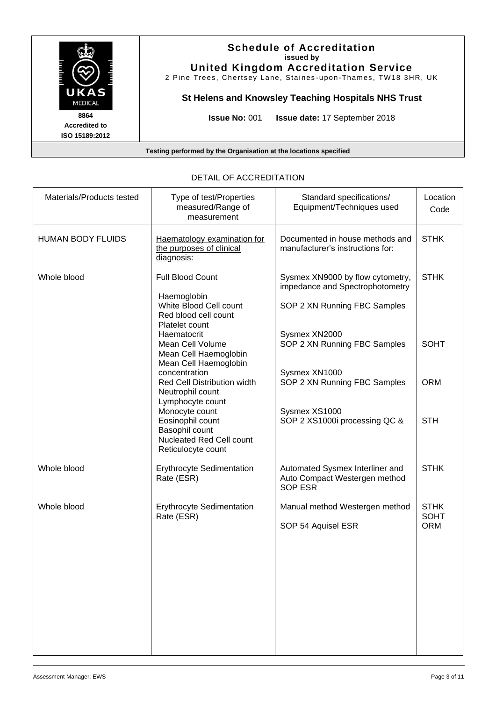

| Materials/Products tested | Type of test/Properties<br>measured/Range of<br>measurement                                            | Standard specifications/<br>Equipment/Techniques used                                               | Location<br>Code           |
|---------------------------|--------------------------------------------------------------------------------------------------------|-----------------------------------------------------------------------------------------------------|----------------------------|
| <b>HUMAN BODY FLUIDS</b>  | Haematology examination for<br>the purposes of clinical<br>diagnosis:                                  | Documented in house methods and<br>manufacturer's instructions for:                                 | <b>STHK</b>                |
| Whole blood               | Full Blood Count<br>Haemoglobin<br>White Blood Cell count<br>Red blood cell count                      | Sysmex XN9000 by flow cytometry,<br>impedance and Spectrophotometry<br>SOP 2 XN Running FBC Samples | <b>STHK</b>                |
|                           | Platelet count<br>Haematocrit<br>Mean Cell Volume<br>Mean Cell Haemoglobin<br>Mean Cell Haemoglobin    | Sysmex XN2000<br>SOP 2 XN Running FBC Samples                                                       | <b>SOHT</b>                |
|                           | concentration<br>Red Cell Distribution width<br>Neutrophil count<br>Lymphocyte count                   | Sysmex XN1000<br>SOP 2 XN Running FBC Samples                                                       | <b>ORM</b>                 |
|                           | Monocyte count<br>Eosinophil count<br>Basophil count<br>Nucleated Red Cell count<br>Reticulocyte count | Sysmex XS1000<br>SOP 2 XS1000i processing QC &                                                      | <b>STH</b>                 |
| Whole blood               | Erythrocyte Sedimentation<br>Rate (ESR)                                                                | Automated Sysmex Interliner and<br>Auto Compact Westergen method<br><b>SOP ESR</b>                  | <b>STHK</b>                |
| Whole blood               | <b>Erythrocyte Sedimentation</b><br>Rate (ESR)                                                         | Manual method Westergen method                                                                      | <b>STHK</b><br><b>SOHT</b> |
|                           |                                                                                                        | SOP 54 Aquisel ESR                                                                                  | <b>ORM</b>                 |

## DETAIL OF ACCREDITATION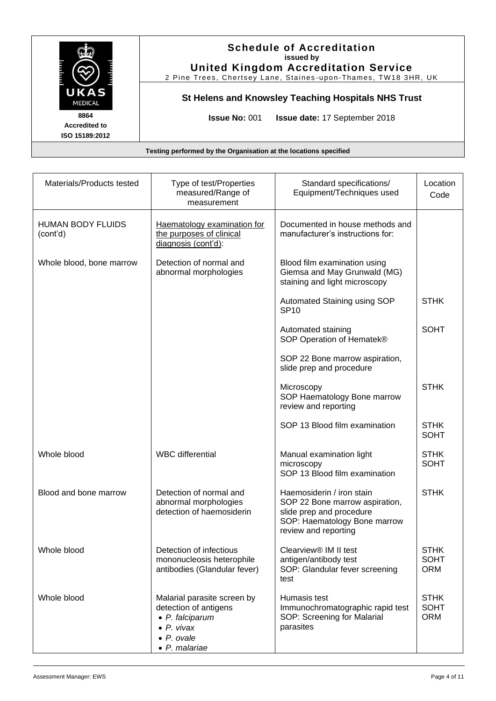

| Materials/Products tested            | Type of test/Properties<br>measured/Range of<br>measurement                                                                          | Standard specifications/<br>Equipment/Techniques used                                                                                           | Location<br>Code                         |
|--------------------------------------|--------------------------------------------------------------------------------------------------------------------------------------|-------------------------------------------------------------------------------------------------------------------------------------------------|------------------------------------------|
| <b>HUMAN BODY FLUIDS</b><br>(cont'd) | Haematology examination for<br>the purposes of clinical<br>diagnosis (cont'd):                                                       | Documented in house methods and<br>manufacturer's instructions for:                                                                             |                                          |
| Whole blood, bone marrow             | Detection of normal and<br>abnormal morphologies                                                                                     | Blood film examination using<br>Giemsa and May Grunwald (MG)<br>staining and light microscopy                                                   |                                          |
|                                      |                                                                                                                                      | Automated Staining using SOP<br><b>SP10</b>                                                                                                     | <b>STHK</b>                              |
|                                      |                                                                                                                                      | Automated staining<br>SOP Operation of Hematek®                                                                                                 | <b>SOHT</b>                              |
|                                      |                                                                                                                                      | SOP 22 Bone marrow aspiration,<br>slide prep and procedure                                                                                      |                                          |
|                                      |                                                                                                                                      | Microscopy<br>SOP Haematology Bone marrow<br>review and reporting                                                                               | <b>STHK</b>                              |
|                                      |                                                                                                                                      | SOP 13 Blood film examination                                                                                                                   | <b>STHK</b><br><b>SOHT</b>               |
| Whole blood                          | <b>WBC</b> differential                                                                                                              | Manual examination light<br>microscopy<br>SOP 13 Blood film examination                                                                         | <b>STHK</b><br><b>SOHT</b>               |
| Blood and bone marrow                | Detection of normal and<br>abnormal morphologies<br>detection of haemosiderin                                                        | Haemosiderin / iron stain<br>SOP 22 Bone marrow aspiration,<br>slide prep and procedure<br>SOP: Haematology Bone marrow<br>review and reporting | <b>STHK</b>                              |
| Whole blood                          | Detection of infectious<br>mononucleosis heterophile<br>antibodies (Glandular fever)                                                 | Clearview <sup>®</sup> IM II test<br>antigen/antibody test<br>SOP: Glandular fever screening<br>test                                            | <b>STHK</b><br><b>SOHT</b><br><b>ORM</b> |
| Whole blood                          | Malarial parasite screen by<br>detection of antigens<br>• P. falciparum<br>$\bullet$ P. vivax<br>$\bullet$ P. ovale<br>• P. malariae | Humasis test<br>Immunochromatographic rapid test<br>SOP: Screening for Malarial<br>parasites                                                    | <b>STHK</b><br><b>SOHT</b><br><b>ORM</b> |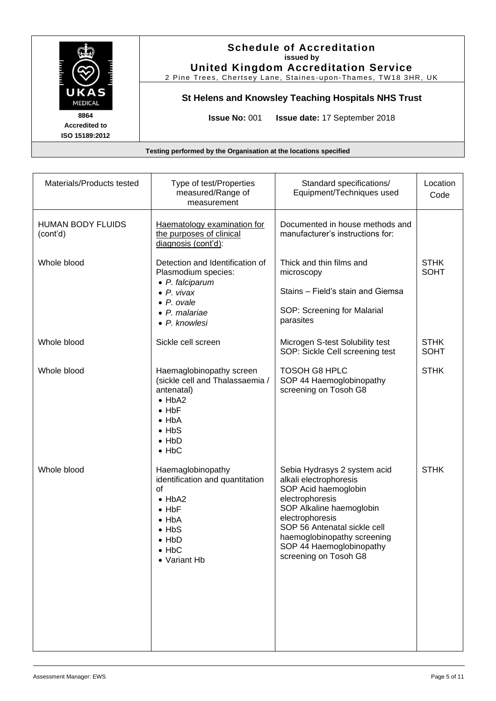|                                                                  | <b>Schedule of Accreditation</b><br>issued by<br><b>United Kingdom Accreditation Service</b><br>2 Pine Trees, Chertsey Lane, Staines-upon-Thames, TW18 3HR, UK |  |
|------------------------------------------------------------------|----------------------------------------------------------------------------------------------------------------------------------------------------------------|--|
| UKAS<br><b>MEDICAL</b>                                           | St Helens and Knowsley Teaching Hospitals NHS Trust                                                                                                            |  |
| 8864<br><b>Accredited to</b><br>ISO 15189:2012                   | <b>Issue No: 001</b><br><b>Issue date: 17 September 2018</b>                                                                                                   |  |
| Testing performed by the Organisation at the locations specified |                                                                                                                                                                |  |

| Materials/Products tested            | Type of test/Properties<br>measured/Range of<br>measurement                                                                                                                       | Standard specifications/<br>Equipment/Techniques used                                                                                                                                                                                                                | Location<br>Code           |
|--------------------------------------|-----------------------------------------------------------------------------------------------------------------------------------------------------------------------------------|----------------------------------------------------------------------------------------------------------------------------------------------------------------------------------------------------------------------------------------------------------------------|----------------------------|
| <b>HUMAN BODY FLUIDS</b><br>(cont'd) | Haematology examination for<br>the purposes of clinical<br>diagnosis (cont'd):                                                                                                    | Documented in house methods and<br>manufacturer's instructions for:                                                                                                                                                                                                  |                            |
| Whole blood                          | Detection and Identification of<br>Plasmodium species:<br>• P. falciparum<br>$\bullet$ P. vivax<br>$\bullet$ P. ovale<br>• P. malariae<br>• P. knowlesi                           | Thick and thin films and<br>microscopy<br>Stains - Field's stain and Giemsa<br>SOP: Screening for Malarial<br>parasites                                                                                                                                              | <b>STHK</b><br><b>SOHT</b> |
| Whole blood                          | Sickle cell screen                                                                                                                                                                | Microgen S-test Solubility test<br>SOP: Sickle Cell screening test                                                                                                                                                                                                   | <b>STHK</b><br><b>SOHT</b> |
| Whole blood                          | Haemaglobinopathy screen<br>(sickle cell and Thalassaemia /<br>antenatal)<br>$\bullet$ HbA2<br>$\bullet$ HbF<br>$\bullet$ HbA<br>$\bullet$ HbS<br>$\bullet$ HbD<br>$\bullet$ HbC  | <b>TOSOH G8 HPLC</b><br>SOP 44 Haemoglobinopathy<br>screening on Tosoh G8                                                                                                                                                                                            | <b>STHK</b>                |
| Whole blood                          | Haemaglobinopathy<br>identification and quantitation<br>οf<br>$\bullet$ HbA2<br>$\bullet$ HbF<br>$\bullet$ HbA<br>$\bullet$ HbS<br>$\bullet$ HbD<br>$\bullet$ HbC<br>• Variant Hb | Sebia Hydrasys 2 system acid<br>alkali electrophoresis<br>SOP Acid haemoglobin<br>electrophoresis<br>SOP Alkaline haemoglobin<br>electrophoresis<br>SOP 56 Antenatal sickle cell<br>haemoglobinopathy screening<br>SOP 44 Haemoglobinopathy<br>screening on Tosoh G8 | <b>STHK</b>                |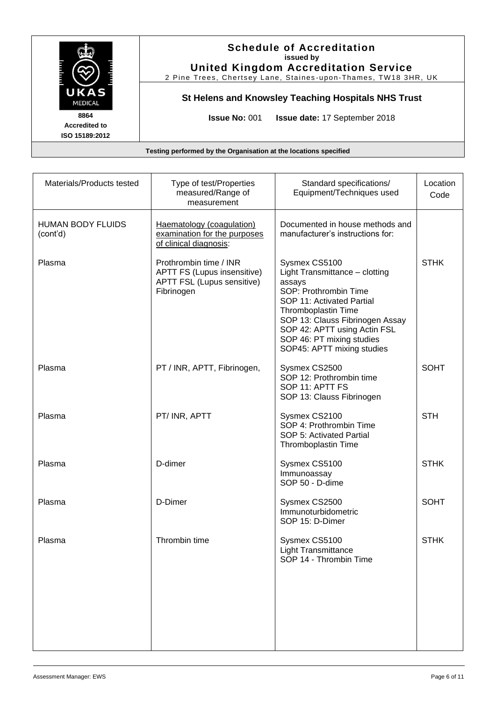|                                                                  | <b>Schedule of Accreditation</b><br>issued by<br><b>United Kingdom Accreditation Service</b><br>2 Pine Trees, Chertsey Lane, Staines-upon-Thames, TW18 3HR, UK |  |
|------------------------------------------------------------------|----------------------------------------------------------------------------------------------------------------------------------------------------------------|--|
| UKAS<br><b>MEDICAL</b>                                           | St Helens and Knowsley Teaching Hospitals NHS Trust                                                                                                            |  |
| 8864<br><b>Accredited to</b><br>ISO 15189:2012                   | <b>Issue No: 001</b><br><b>Issue date: 17 September 2018</b>                                                                                                   |  |
| Testing performed by the Organisation at the locations specified |                                                                                                                                                                |  |

| measurement                                                                                       |                                                                                                                                                                                                                                                                      | Code        |
|---------------------------------------------------------------------------------------------------|----------------------------------------------------------------------------------------------------------------------------------------------------------------------------------------------------------------------------------------------------------------------|-------------|
| Haematology (coagulation)<br>examination for the purposes<br>of clinical diagnosis:               | Documented in house methods and<br>manufacturer's instructions for:                                                                                                                                                                                                  |             |
| Prothrombin time / INR<br>APTT FS (Lupus insensitive)<br>APTT FSL (Lupus sensitive)<br>Fibrinogen | Sysmex CS5100<br>Light Transmittance - clotting<br>assays<br>SOP: Prothrombin Time<br>SOP 11: Activated Partial<br>Thromboplastin Time<br>SOP 13: Clauss Fibrinogen Assay<br>SOP 42: APTT using Actin FSL<br>SOP 46: PT mixing studies<br>SOP45: APTT mixing studies | <b>STHK</b> |
| PT / INR, APTT, Fibrinogen,                                                                       | Sysmex CS2500<br>SOP 12: Prothrombin time<br>SOP 11: APTT FS<br>SOP 13: Clauss Fibrinogen                                                                                                                                                                            | <b>SOHT</b> |
| PT/INR, APTT                                                                                      | Sysmex CS2100<br>SOP 4: Prothrombin Time<br>SOP 5: Activated Partial<br>Thromboplastin Time                                                                                                                                                                          | <b>STH</b>  |
| D-dimer                                                                                           | Sysmex CS5100<br>Immunoassay<br>SOP 50 - D-dime                                                                                                                                                                                                                      | <b>STHK</b> |
| D-Dimer                                                                                           | Sysmex CS2500<br>Immunoturbidometric<br>SOP 15: D-Dimer                                                                                                                                                                                                              | <b>SOHT</b> |
| Thrombin time                                                                                     | Sysmex CS5100<br><b>Light Transmittance</b><br>SOP 14 - Thrombin Time                                                                                                                                                                                                | <b>STHK</b> |
|                                                                                                   |                                                                                                                                                                                                                                                                      |             |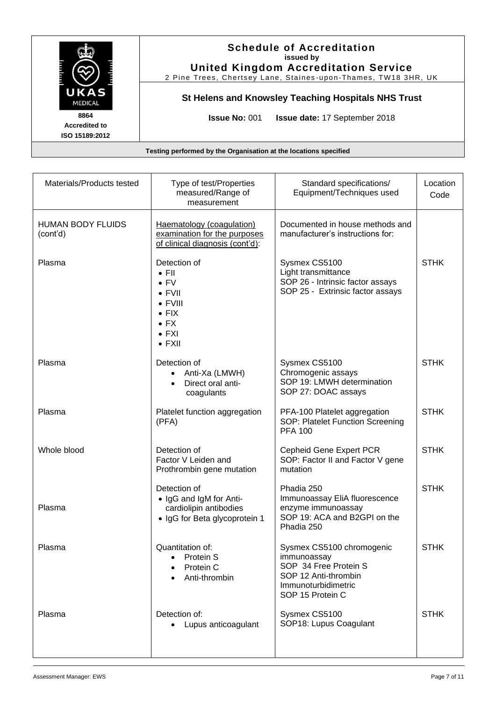|                                                                  | <b>Schedule of Accreditation</b><br>issued by<br><b>United Kingdom Accreditation Service</b><br>2 Pine Trees, Chertsey Lane, Staines-upon-Thames, TW18 3HR, UK |  |
|------------------------------------------------------------------|----------------------------------------------------------------------------------------------------------------------------------------------------------------|--|
| UKAS<br><b>MEDICAL</b>                                           | St Helens and Knowsley Teaching Hospitals NHS Trust                                                                                                            |  |
| 8864<br><b>Accredited to</b><br>ISO 15189:2012                   | <b>Issue No: 001</b><br><b>Issue date: 17 September 2018</b>                                                                                                   |  |
| Testing performed by the Organisation at the locations specified |                                                                                                                                                                |  |

| Materials/Products tested            | Type of test/Properties<br>measured/Range of<br>measurement                                                                                            | Standard specifications/<br>Equipment/Techniques used                                                                                | Location<br>Code |
|--------------------------------------|--------------------------------------------------------------------------------------------------------------------------------------------------------|--------------------------------------------------------------------------------------------------------------------------------------|------------------|
| <b>HUMAN BODY FLUIDS</b><br>(cont'd) | Haematology (coagulation)<br>examination for the purposes<br>of clinical diagnosis (cont'd):                                                           | Documented in house methods and<br>manufacturer's instructions for:                                                                  |                  |
| Plasma                               | Detection of<br>$\bullet$ FII<br>$\bullet$ FV<br>$\bullet$ FVII<br>$\bullet$ FVIII<br>$\bullet$ FIX<br>$\bullet$ FX<br>$\bullet$ FXI<br>$\bullet$ FXII | Sysmex CS5100<br>Light transmittance<br>SOP 26 - Intrinsic factor assays<br>SOP 25 - Extrinsic factor assays                         | <b>STHK</b>      |
| Plasma                               | Detection of<br>Anti-Xa (LMWH)<br>Direct oral anti-<br>coagulants                                                                                      | Sysmex CS5100<br>Chromogenic assays<br>SOP 19: LMWH determination<br>SOP 27: DOAC assays                                             | <b>STHK</b>      |
| Plasma                               | Platelet function aggregation<br>(PFA)                                                                                                                 | PFA-100 Platelet aggregation<br>SOP: Platelet Function Screening<br><b>PFA 100</b>                                                   | <b>STHK</b>      |
| Whole blood                          | Detection of<br>Factor V Leiden and<br>Prothrombin gene mutation                                                                                       | Cepheid Gene Expert PCR<br>SOP: Factor II and Factor V gene<br>mutation                                                              | <b>STHK</b>      |
| Plasma                               | Detection of<br>• IgG and IgM for Anti-<br>cardiolipin antibodies<br>· IgG for Beta glycoprotein 1                                                     | Phadia 250<br>Immunoassay EliA fluorescence<br>enzyme immunoassay<br>SOP 19: ACA and B2GPI on the<br>Phadia 250                      | <b>STHK</b>      |
| Plasma                               | Quantitation of:<br>Protein S<br>$\bullet$<br>Protein C<br>Anti-thrombin                                                                               | Sysmex CS5100 chromogenic<br>immunoassay<br>SOP 34 Free Protein S<br>SOP 12 Anti-thrombin<br>Immunoturbidimetric<br>SOP 15 Protein C | <b>STHK</b>      |
| Plasma                               | Detection of:<br>• Lupus anticoagulant                                                                                                                 | Sysmex CS5100<br>SOP18: Lupus Coagulant                                                                                              | <b>STHK</b>      |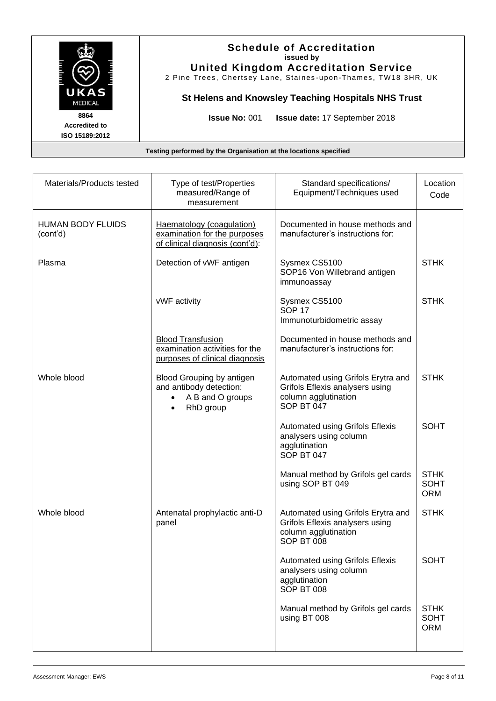|                                                | <b>Schedule of Accreditation</b><br>issued by<br><b>United Kingdom Accreditation Service</b><br>2 Pine Trees, Chertsey Lane, Staines-upon-Thames, TW18 3HR, UK |
|------------------------------------------------|----------------------------------------------------------------------------------------------------------------------------------------------------------------|
| UKAS<br><b>MEDICAL</b>                         | St Helens and Knowsley Teaching Hospitals NHS Trust                                                                                                            |
| 8864<br><b>Accredited to</b><br>ISO 15189:2012 | <b>Issue No: 001</b><br><b>Issue date: 17 September 2018</b>                                                                                                   |
|                                                | Testing performed by the Organisation at the locations specified                                                                                               |

| Materials/Products tested            | Type of test/Properties<br>measured/Range of<br>measurement                                        | Standard specifications/<br>Equipment/Techniques used                                                       | Location<br>Code                         |
|--------------------------------------|----------------------------------------------------------------------------------------------------|-------------------------------------------------------------------------------------------------------------|------------------------------------------|
| <b>HUMAN BODY FLUIDS</b><br>(cont'd) | Haematology (coagulation)<br>examination for the purposes<br>of clinical diagnosis (cont'd):       | Documented in house methods and<br>manufacturer's instructions for:                                         |                                          |
| Plasma                               | Detection of vWF antigen                                                                           | Sysmex CS5100<br>SOP16 Von Willebrand antigen<br>immunoassay                                                | <b>STHK</b>                              |
|                                      | vWF activity                                                                                       | Sysmex CS5100<br><b>SOP 17</b><br>Immunoturbidometric assay                                                 | <b>STHK</b>                              |
|                                      | <b>Blood Transfusion</b><br>examination activities for the<br>purposes of clinical diagnosis       | Documented in house methods and<br>manufacturer's instructions for:                                         |                                          |
| Whole blood                          | Blood Grouping by antigen<br>and antibody detection:<br>A B and O groups<br>$\bullet$<br>RhD group | Automated using Grifols Erytra and<br>Grifols Eflexis analysers using<br>column agglutination<br>SOP BT 047 | <b>STHK</b>                              |
|                                      |                                                                                                    | <b>Automated using Grifols Eflexis</b><br>analysers using column<br>agglutination<br>SOP BT 047             | <b>SOHT</b>                              |
|                                      |                                                                                                    | Manual method by Grifols gel cards<br>using SOP BT 049                                                      | <b>STHK</b><br><b>SOHT</b><br><b>ORM</b> |
| Whole blood                          | Antenatal prophylactic anti-D<br>panel                                                             | Automated using Grifols Erytra and<br>Grifols Eflexis analysers using<br>column agglutination<br>SOP BT 008 | <b>STHK</b>                              |
|                                      |                                                                                                    | Automated using Grifols Eflexis<br>analysers using column<br>agglutination<br>SOP BT 008                    | <b>SOHT</b>                              |
|                                      |                                                                                                    | Manual method by Grifols gel cards<br>using BT 008                                                          | <b>STHK</b><br><b>SOHT</b><br><b>ORM</b> |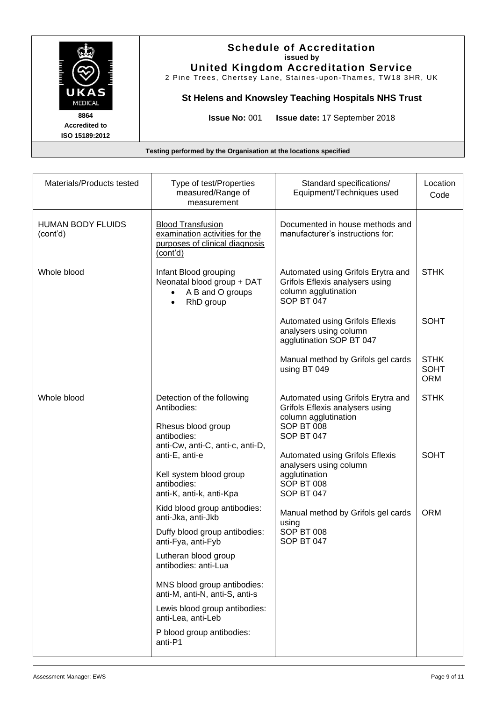|                                                | <b>Schedule of Accreditation</b><br>issued by<br><b>United Kingdom Accreditation Service</b><br>2 Pine Trees, Chertsey Lane, Staines-upon-Thames, TW18 3HR, UK |  |  |
|------------------------------------------------|----------------------------------------------------------------------------------------------------------------------------------------------------------------|--|--|
| UKAS<br><b>MEDICAL</b>                         | St Helens and Knowsley Teaching Hospitals NHS Trust                                                                                                            |  |  |
| 8864<br><b>Accredited to</b><br>ISO 15189:2012 | <b>Issue No: 001</b><br><b>Issue date: 17 September 2018</b>                                                                                                   |  |  |
|                                                | Testing performed by the Organisation at the locations specified                                                                                               |  |  |

| Materials/Products tested            | Type of test/Properties<br>measured/Range of<br>measurement                                                              | Standard specifications/<br>Equipment/Techniques used                                                                                                                                    | Location<br>Code                         |
|--------------------------------------|--------------------------------------------------------------------------------------------------------------------------|------------------------------------------------------------------------------------------------------------------------------------------------------------------------------------------|------------------------------------------|
| <b>HUMAN BODY FLUIDS</b><br>(cont'd) | <b>Blood Transfusion</b><br>examination activities for the<br>purposes of clinical diagnosis<br>(cont'd)                 | Documented in house methods and<br>manufacturer's instructions for:                                                                                                                      |                                          |
| Whole blood                          | Infant Blood grouping<br>Neonatal blood group + DAT<br>A B and O groups<br>$\bullet$<br>RhD group<br>$\bullet$           | Automated using Grifols Erytra and<br>Grifols Eflexis analysers using<br>column agglutination<br>SOP BT 047                                                                              | <b>STHK</b>                              |
|                                      |                                                                                                                          | Automated using Grifols Eflexis<br>analysers using column<br>agglutination SOP BT 047                                                                                                    | <b>SOHT</b>                              |
|                                      |                                                                                                                          | Manual method by Grifols gel cards<br>using BT 049                                                                                                                                       | <b>STHK</b><br><b>SOHT</b><br><b>ORM</b> |
| Whole blood                          | Detection of the following<br>Antibodies:<br>Rhesus blood group<br>antibodies:                                           | Automated using Grifols Erytra and<br>Grifols Eflexis analysers using<br>column agglutination<br><b>SOP BT 008</b><br>SOP BT 047                                                         | <b>STHK</b>                              |
|                                      | anti-Cw, anti-C, anti-c, anti-D,<br>anti-E, anti-e<br>Kell system blood group<br>antibodies:<br>anti-K, anti-k, anti-Kpa | <b>Automated using Grifols Eflexis</b><br>analysers using column<br>agglutination<br>SOP BT 008<br>SOP BT 047<br>Manual method by Grifols gel cards<br>using<br>SOP BT 008<br>SOP BT 047 | <b>SOHT</b>                              |
|                                      | Kidd blood group antibodies:<br>anti-Jka, anti-Jkb<br>Duffy blood group antibodies:                                      |                                                                                                                                                                                          | <b>ORM</b>                               |
|                                      | anti-Fya, anti-Fyb<br>Lutheran blood group<br>antibodies: anti-Lua                                                       |                                                                                                                                                                                          |                                          |
|                                      | MNS blood group antibodies:<br>anti-M, anti-N, anti-S, anti-s                                                            |                                                                                                                                                                                          |                                          |
|                                      | Lewis blood group antibodies:<br>anti-Lea, anti-Leb                                                                      |                                                                                                                                                                                          |                                          |
|                                      | P blood group antibodies:<br>anti-P1                                                                                     |                                                                                                                                                                                          |                                          |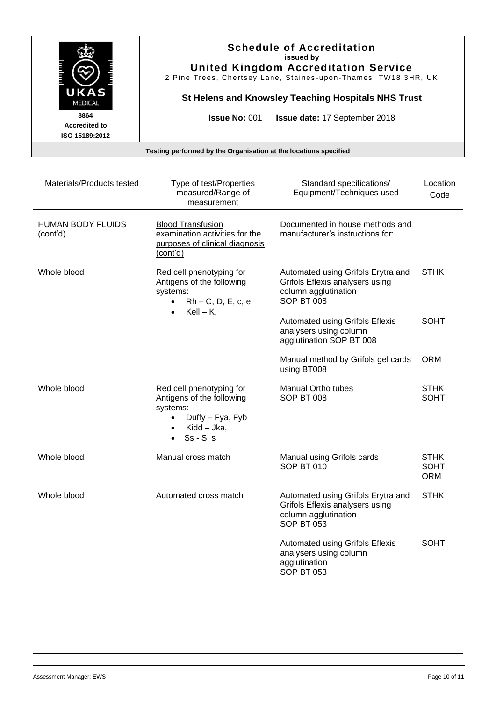|                                                | <b>Schedule of Accreditation</b><br>issued by<br><b>United Kingdom Accreditation Service</b><br>2 Pine Trees, Chertsey Lane, Staines-upon-Thames, TW18 3HR, UK |  |
|------------------------------------------------|----------------------------------------------------------------------------------------------------------------------------------------------------------------|--|
| UKAS<br><b>MEDICAL</b>                         | St Helens and Knowsley Teaching Hospitals NHS Trust                                                                                                            |  |
| 8864<br><b>Accredited to</b><br>ISO 15189:2012 | <b>Issue No: 001</b><br><b>Issue date: 17 September 2018</b>                                                                                                   |  |

| Type of test/Properties<br>measured/Range of<br>measurement                                                                                     | Standard specifications/<br>Equipment/Techniques used                                                              | Location<br>Code                         |
|-------------------------------------------------------------------------------------------------------------------------------------------------|--------------------------------------------------------------------------------------------------------------------|------------------------------------------|
| <b>Blood Transfusion</b><br>examination activities for the<br>purposes of clinical diagnosis<br>(cont'd)                                        | Documented in house methods and<br>manufacturer's instructions for:                                                |                                          |
| Red cell phenotyping for<br>Antigens of the following<br>systems:<br>$Rh - C$ , $D$ , $E$ , $c$ , $e$<br>$\bullet$<br>$Kell - K$ ,<br>$\bullet$ | Automated using Grifols Erytra and<br>Grifols Eflexis analysers using<br>column agglutination<br>SOP BT 008        | <b>STHK</b>                              |
|                                                                                                                                                 | <b>Automated using Grifols Eflexis</b><br>analysers using column<br>agglutination SOP BT 008                       | <b>SOHT</b>                              |
|                                                                                                                                                 | Manual method by Grifols gel cards<br>using BT008                                                                  | <b>ORM</b>                               |
| Red cell phenotyping for<br>Antigens of the following<br>systems:<br>Duffy - Fya, Fyb<br>Kidd – Jka,<br>$Ss - S, s$                             | <b>Manual Ortho tubes</b><br><b>SOP BT 008</b>                                                                     | <b>STHK</b><br><b>SOHT</b>               |
| Manual cross match                                                                                                                              | Manual using Grifols cards<br>SOP BT 010                                                                           | <b>STHK</b><br><b>SOHT</b><br><b>ORM</b> |
| Automated cross match                                                                                                                           | Automated using Grifols Erytra and<br>Grifols Eflexis analysers using<br>column agglutination<br><b>SOP BT 053</b> | <b>STHK</b>                              |
|                                                                                                                                                 | <b>Automated using Grifols Eflexis</b><br>analysers using column<br>agglutination<br><b>SOP BT 053</b>             | <b>SOHT</b>                              |
|                                                                                                                                                 |                                                                                                                    |                                          |
|                                                                                                                                                 |                                                                                                                    |                                          |